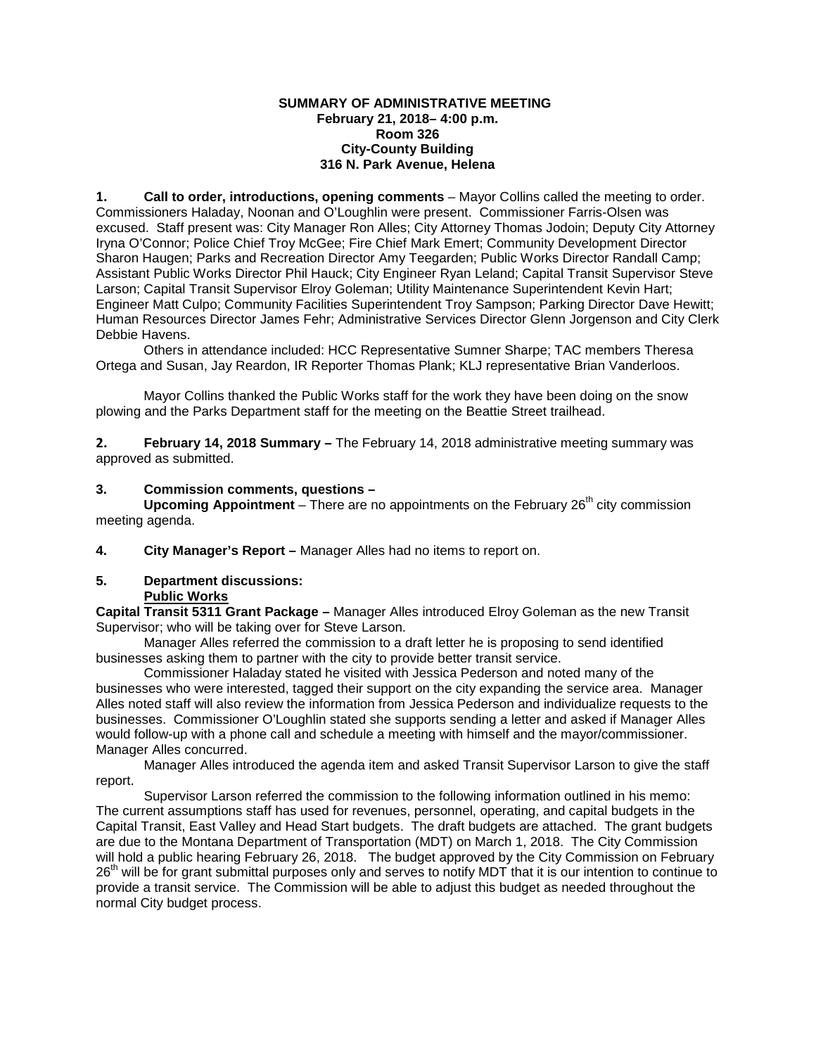#### **SUMMARY OF ADMINISTRATIVE MEETING February 21, 2018– 4:00 p.m. Room 326 City-County Building 316 N. Park Avenue, Helena**

**1. Call to order, introductions, opening comments** – Mayor Collins called the meeting to order. Commissioners Haladay, Noonan and O'Loughlin were present. Commissioner Farris-Olsen was excused. Staff present was: City Manager Ron Alles; City Attorney Thomas Jodoin; Deputy City Attorney Iryna O'Connor; Police Chief Troy McGee; Fire Chief Mark Emert; Community Development Director Sharon Haugen; Parks and Recreation Director Amy Teegarden; Public Works Director Randall Camp; Assistant Public Works Director Phil Hauck; City Engineer Ryan Leland; Capital Transit Supervisor Steve Larson; Capital Transit Supervisor Elroy Goleman; Utility Maintenance Superintendent Kevin Hart; Engineer Matt Culpo; Community Facilities Superintendent Troy Sampson; Parking Director Dave Hewitt; Human Resources Director James Fehr; Administrative Services Director Glenn Jorgenson and City Clerk Debbie Havens.

Others in attendance included: HCC Representative Sumner Sharpe; TAC members Theresa Ortega and Susan, Jay Reardon, IR Reporter Thomas Plank; KLJ representative Brian Vanderloos.

Mayor Collins thanked the Public Works staff for the work they have been doing on the snow plowing and the Parks Department staff for the meeting on the Beattie Street trailhead.

**2. February 14, 2018 Summary –** The February 14, 2018 administrative meeting summary was approved as submitted.

#### **3. Commission comments, questions –**

**Upcoming Appointment** – There are no appointments on the February 26<sup>th</sup> city commission meeting agenda.

**4. City Manager's Report –** Manager Alles had no items to report on.

#### **5. Department discussions: Public Works**

**Capital Transit 5311 Grant Package –** Manager Alles introduced Elroy Goleman as the new Transit Supervisor; who will be taking over for Steve Larson.

Manager Alles referred the commission to a draft letter he is proposing to send identified businesses asking them to partner with the city to provide better transit service.

Commissioner Haladay stated he visited with Jessica Pederson and noted many of the businesses who were interested, tagged their support on the city expanding the service area. Manager Alles noted staff will also review the information from Jessica Pederson and individualize requests to the businesses. Commissioner O'Loughlin stated she supports sending a letter and asked if Manager Alles would follow-up with a phone call and schedule a meeting with himself and the mayor/commissioner. Manager Alles concurred.

Manager Alles introduced the agenda item and asked Transit Supervisor Larson to give the staff report.

Supervisor Larson referred the commission to the following information outlined in his memo: The current assumptions staff has used for revenues, personnel, operating, and capital budgets in the Capital Transit, East Valley and Head Start budgets. The draft budgets are attached. The grant budgets are due to the Montana Department of Transportation (MDT) on March 1, 2018. The City Commission will hold a public hearing February 26, 2018. The budget approved by the City Commission on February 26<sup>th</sup> will be for grant submittal purposes only and serves to notify MDT that it is our intention to continue to provide a transit service. The Commission will be able to adjust this budget as needed throughout the normal City budget process.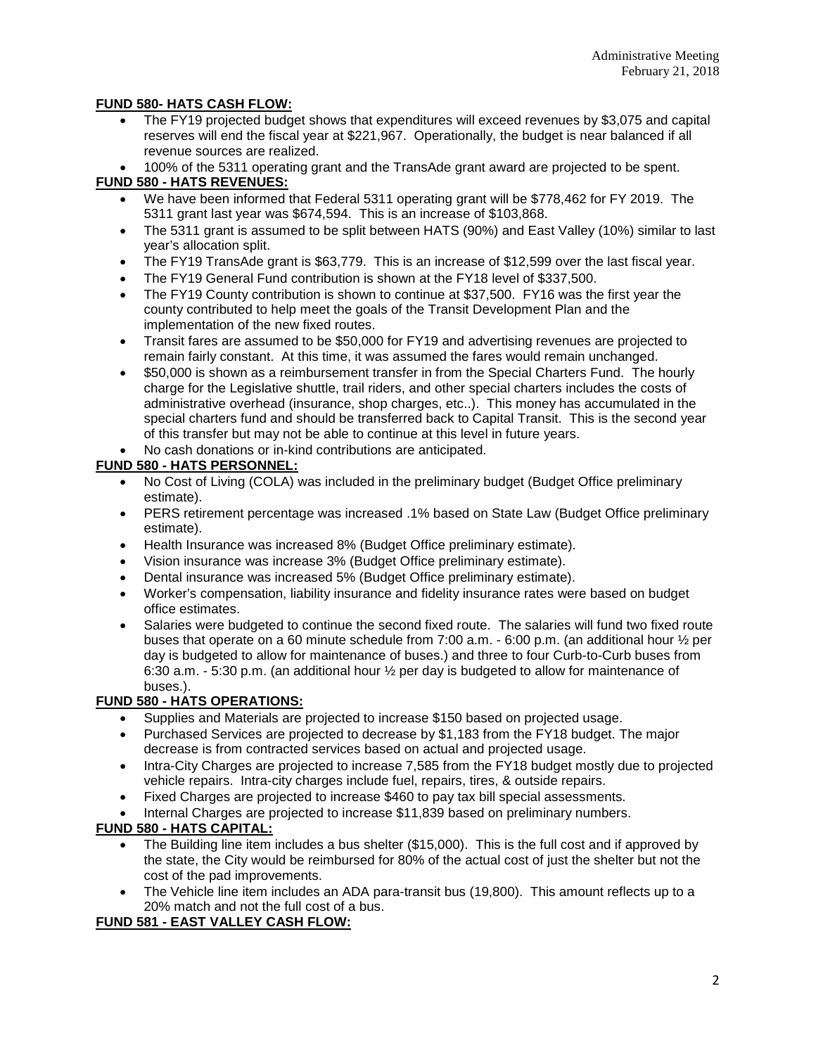## **FUND 580- HATS CASH FLOW:**

- The FY19 projected budget shows that expenditures will exceed revenues by \$3,075 and capital reserves will end the fiscal year at \$221,967. Operationally, the budget is near balanced if all revenue sources are realized.
- 100% of the 5311 operating grant and the TransAde grant award are projected to be spent.

## **FUND 580 - HATS REVENUES:**

- We have been informed that Federal 5311 operating grant will be \$778,462 for FY 2019. The 5311 grant last year was \$674,594. This is an increase of \$103,868.
- The 5311 grant is assumed to be split between HATS (90%) and East Valley (10%) similar to last year's allocation split.
- The FY19 TransAde grant is \$63,779. This is an increase of \$12,599 over the last fiscal year.
- The FY19 General Fund contribution is shown at the FY18 level of \$337,500.
- The FY19 County contribution is shown to continue at \$37,500. FY16 was the first year the county contributed to help meet the goals of the Transit Development Plan and the implementation of the new fixed routes.
- Transit fares are assumed to be \$50,000 for FY19 and advertising revenues are projected to remain fairly constant. At this time, it was assumed the fares would remain unchanged.
- \$50,000 is shown as a reimbursement transfer in from the Special Charters Fund. The hourly charge for the Legislative shuttle, trail riders, and other special charters includes the costs of administrative overhead (insurance, shop charges, etc..). This money has accumulated in the special charters fund and should be transferred back to Capital Transit. This is the second year of this transfer but may not be able to continue at this level in future years.
- No cash donations or in-kind contributions are anticipated.

# **FUND 580 - HATS PERSONNEL:**

- No Cost of Living (COLA) was included in the preliminary budget (Budget Office preliminary estimate).
- PERS retirement percentage was increased .1% based on State Law (Budget Office preliminary estimate).
- Health Insurance was increased 8% (Budget Office preliminary estimate).
- Vision insurance was increase 3% (Budget Office preliminary estimate).
- Dental insurance was increased 5% (Budget Office preliminary estimate).
- Worker's compensation, liability insurance and fidelity insurance rates were based on budget office estimates.
- Salaries were budgeted to continue the second fixed route. The salaries will fund two fixed route buses that operate on a 60 minute schedule from 7:00 a.m. - 6:00 p.m. (an additional hour ½ per day is budgeted to allow for maintenance of buses.) and three to four Curb-to-Curb buses from 6:30 a.m. - 5:30 p.m. (an additional hour ½ per day is budgeted to allow for maintenance of buses.).

# **FUND 580 - HATS OPERATIONS:**

- Supplies and Materials are projected to increase \$150 based on projected usage.
- Purchased Services are projected to decrease by \$1,183 from the FY18 budget. The major decrease is from contracted services based on actual and projected usage.
- Intra-City Charges are projected to increase 7,585 from the FY18 budget mostly due to projected vehicle repairs. Intra-city charges include fuel, repairs, tires, & outside repairs.
- Fixed Charges are projected to increase \$460 to pay tax bill special assessments.
- Internal Charges are projected to increase \$11,839 based on preliminary numbers.

# **FUND 580 - HATS CAPITAL:**

- The Building line item includes a bus shelter (\$15,000). This is the full cost and if approved by the state, the City would be reimbursed for 80% of the actual cost of just the shelter but not the cost of the pad improvements.
- The Vehicle line item includes an ADA para-transit bus (19,800). This amount reflects up to a 20% match and not the full cost of a bus.

# **FUND 581 - EAST VALLEY CASH FLOW:**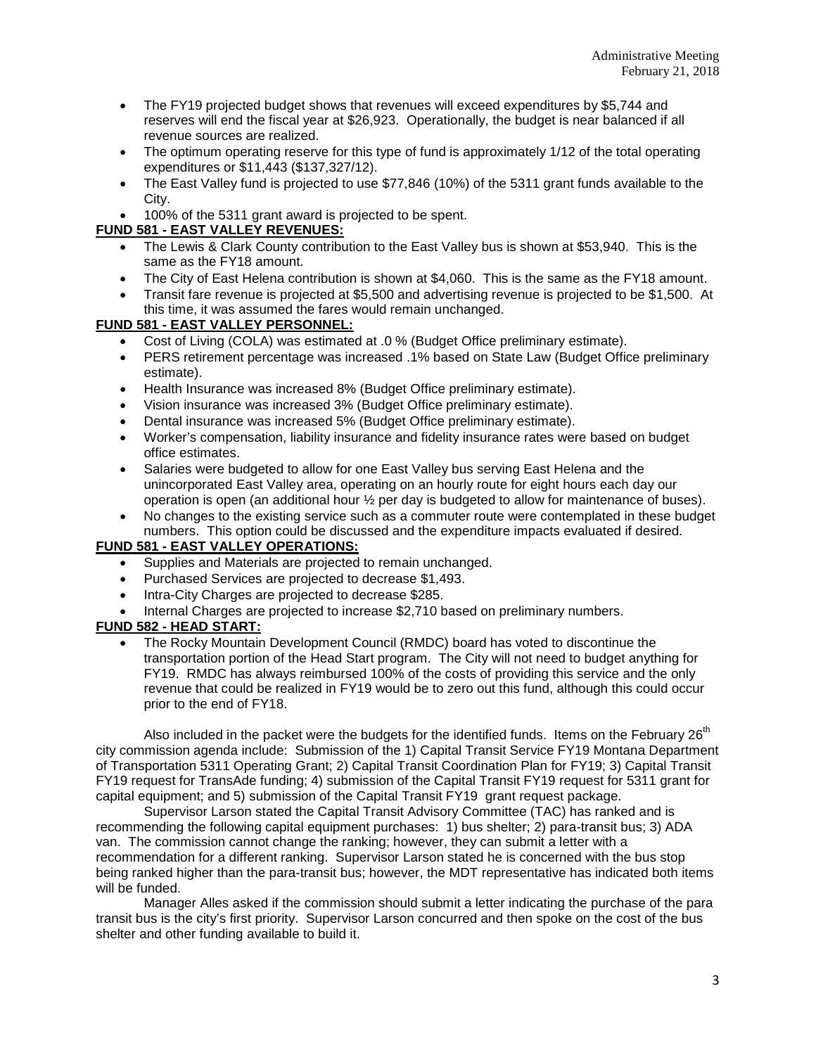- The FY19 projected budget shows that revenues will exceed expenditures by \$5.744 and reserves will end the fiscal year at \$26,923. Operationally, the budget is near balanced if all revenue sources are realized.
- The optimum operating reserve for this type of fund is approximately 1/12 of the total operating expenditures or \$11,443 (\$137,327/12).
- The East Valley fund is projected to use \$77,846 (10%) of the 5311 grant funds available to the City.
- 100% of the 5311 grant award is projected to be spent.

## **FUND 581 - EAST VALLEY REVENUES:**

- The Lewis & Clark County contribution to the East Valley bus is shown at \$53,940. This is the same as the FY18 amount.
- The City of East Helena contribution is shown at \$4,060. This is the same as the FY18 amount.
- Transit fare revenue is projected at \$5,500 and advertising revenue is projected to be \$1,500. At this time, it was assumed the fares would remain unchanged.

## **FUND 581 - EAST VALLEY PERSONNEL:**

- Cost of Living (COLA) was estimated at .0 % (Budget Office preliminary estimate).
- PERS retirement percentage was increased .1% based on State Law (Budget Office preliminary estimate).
- Health Insurance was increased 8% (Budget Office preliminary estimate).
- Vision insurance was increased 3% (Budget Office preliminary estimate).
- Dental insurance was increased 5% (Budget Office preliminary estimate).
- Worker's compensation, liability insurance and fidelity insurance rates were based on budget office estimates.
- Salaries were budgeted to allow for one East Valley bus serving East Helena and the unincorporated East Valley area, operating on an hourly route for eight hours each day our operation is open (an additional hour ½ per day is budgeted to allow for maintenance of buses).
- No changes to the existing service such as a commuter route were contemplated in these budget numbers. This option could be discussed and the expenditure impacts evaluated if desired.

### **FUND 581 - EAST VALLEY OPERATIONS:**

- Supplies and Materials are projected to remain unchanged.
- Purchased Services are projected to decrease \$1,493.
- Intra-City Charges are projected to decrease \$285.
- Internal Charges are projected to increase \$2,710 based on preliminary numbers.

# **FUND 582 - HEAD START:**

• The Rocky Mountain Development Council (RMDC) board has voted to discontinue the transportation portion of the Head Start program. The City will not need to budget anything for FY19. RMDC has always reimbursed 100% of the costs of providing this service and the only revenue that could be realized in FY19 would be to zero out this fund, although this could occur prior to the end of FY18.

Also included in the packet were the budgets for the identified funds. Items on the February  $26<sup>th</sup>$ city commission agenda include: Submission of the 1) Capital Transit Service FY19 Montana Department of Transportation 5311 Operating Grant; 2) Capital Transit Coordination Plan for FY19; 3) Capital Transit FY19 request for TransAde funding; 4) submission of the Capital Transit FY19 request for 5311 grant for capital equipment; and 5) submission of the Capital Transit FY19 grant request package.

Supervisor Larson stated the Capital Transit Advisory Committee (TAC) has ranked and is recommending the following capital equipment purchases: 1) bus shelter; 2) para-transit bus; 3) ADA van. The commission cannot change the ranking; however, they can submit a letter with a recommendation for a different ranking. Supervisor Larson stated he is concerned with the bus stop being ranked higher than the para-transit bus; however, the MDT representative has indicated both items will be funded.

Manager Alles asked if the commission should submit a letter indicating the purchase of the para transit bus is the city's first priority. Supervisor Larson concurred and then spoke on the cost of the bus shelter and other funding available to build it.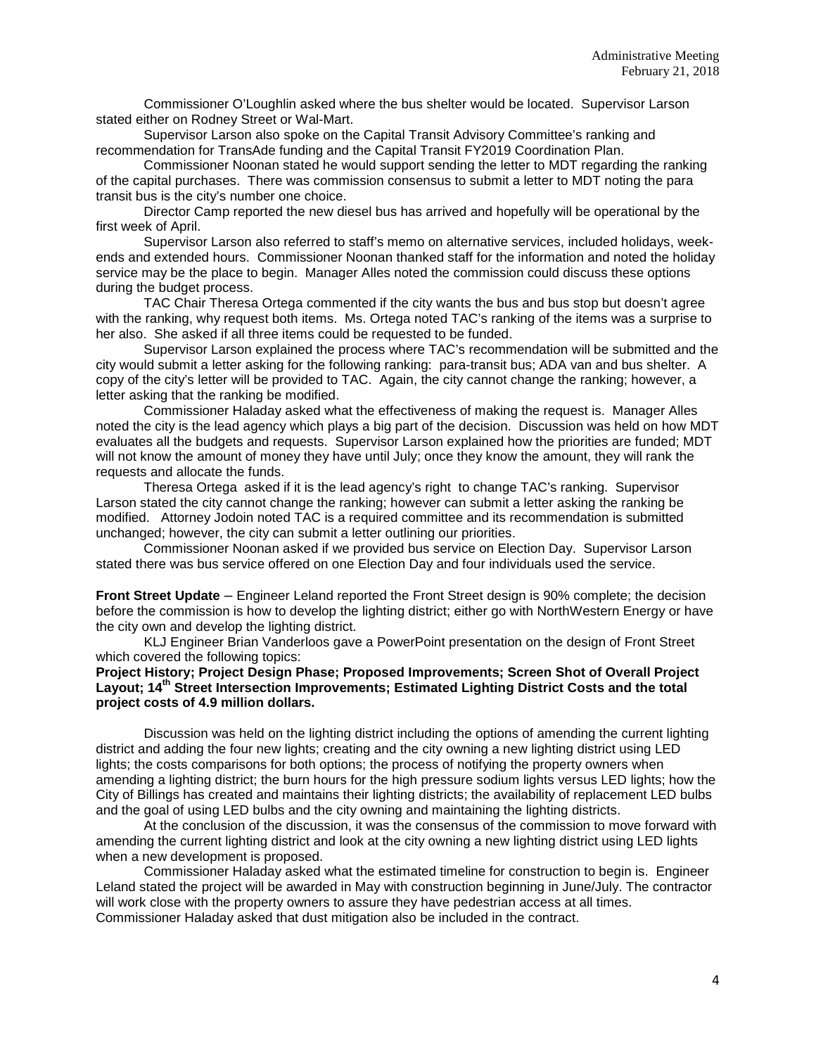Commissioner O'Loughlin asked where the bus shelter would be located. Supervisor Larson stated either on Rodney Street or Wal-Mart.

Supervisor Larson also spoke on the Capital Transit Advisory Committee's ranking and recommendation for TransAde funding and the Capital Transit FY2019 Coordination Plan.

Commissioner Noonan stated he would support sending the letter to MDT regarding the ranking of the capital purchases. There was commission consensus to submit a letter to MDT noting the para transit bus is the city's number one choice.

Director Camp reported the new diesel bus has arrived and hopefully will be operational by the first week of April.

Supervisor Larson also referred to staff's memo on alternative services, included holidays, weekends and extended hours. Commissioner Noonan thanked staff for the information and noted the holiday service may be the place to begin. Manager Alles noted the commission could discuss these options during the budget process.

TAC Chair Theresa Ortega commented if the city wants the bus and bus stop but doesn't agree with the ranking, why request both items. Ms. Ortega noted TAC's ranking of the items was a surprise to her also. She asked if all three items could be requested to be funded.

Supervisor Larson explained the process where TAC's recommendation will be submitted and the city would submit a letter asking for the following ranking: para-transit bus; ADA van and bus shelter. A copy of the city's letter will be provided to TAC. Again, the city cannot change the ranking; however, a letter asking that the ranking be modified.

Commissioner Haladay asked what the effectiveness of making the request is. Manager Alles noted the city is the lead agency which plays a big part of the decision. Discussion was held on how MDT evaluates all the budgets and requests. Supervisor Larson explained how the priorities are funded; MDT will not know the amount of money they have until July; once they know the amount, they will rank the requests and allocate the funds.

Theresa Ortega asked if it is the lead agency's right to change TAC's ranking. Supervisor Larson stated the city cannot change the ranking; however can submit a letter asking the ranking be modified. Attorney Jodoin noted TAC is a required committee and its recommendation is submitted unchanged; however, the city can submit a letter outlining our priorities.

Commissioner Noonan asked if we provided bus service on Election Day. Supervisor Larson stated there was bus service offered on one Election Day and four individuals used the service.

**Front Street Update** – Engineer Leland reported the Front Street design is 90% complete; the decision before the commission is how to develop the lighting district; either go with NorthWestern Energy or have the city own and develop the lighting district.

KLJ Engineer Brian Vanderloos gave a PowerPoint presentation on the design of Front Street which covered the following topics:

### **Project History; Project Design Phase; Proposed Improvements; Screen Shot of Overall Project Layout; 14th Street Intersection Improvements; Estimated Lighting District Costs and the total project costs of 4.9 million dollars.**

Discussion was held on the lighting district including the options of amending the current lighting district and adding the four new lights; creating and the city owning a new lighting district using LED lights; the costs comparisons for both options; the process of notifying the property owners when amending a lighting district; the burn hours for the high pressure sodium lights versus LED lights; how the City of Billings has created and maintains their lighting districts; the availability of replacement LED bulbs and the goal of using LED bulbs and the city owning and maintaining the lighting districts.

At the conclusion of the discussion, it was the consensus of the commission to move forward with amending the current lighting district and look at the city owning a new lighting district using LED lights when a new development is proposed.

Commissioner Haladay asked what the estimated timeline for construction to begin is. Engineer Leland stated the project will be awarded in May with construction beginning in June/July. The contractor will work close with the property owners to assure they have pedestrian access at all times. Commissioner Haladay asked that dust mitigation also be included in the contract.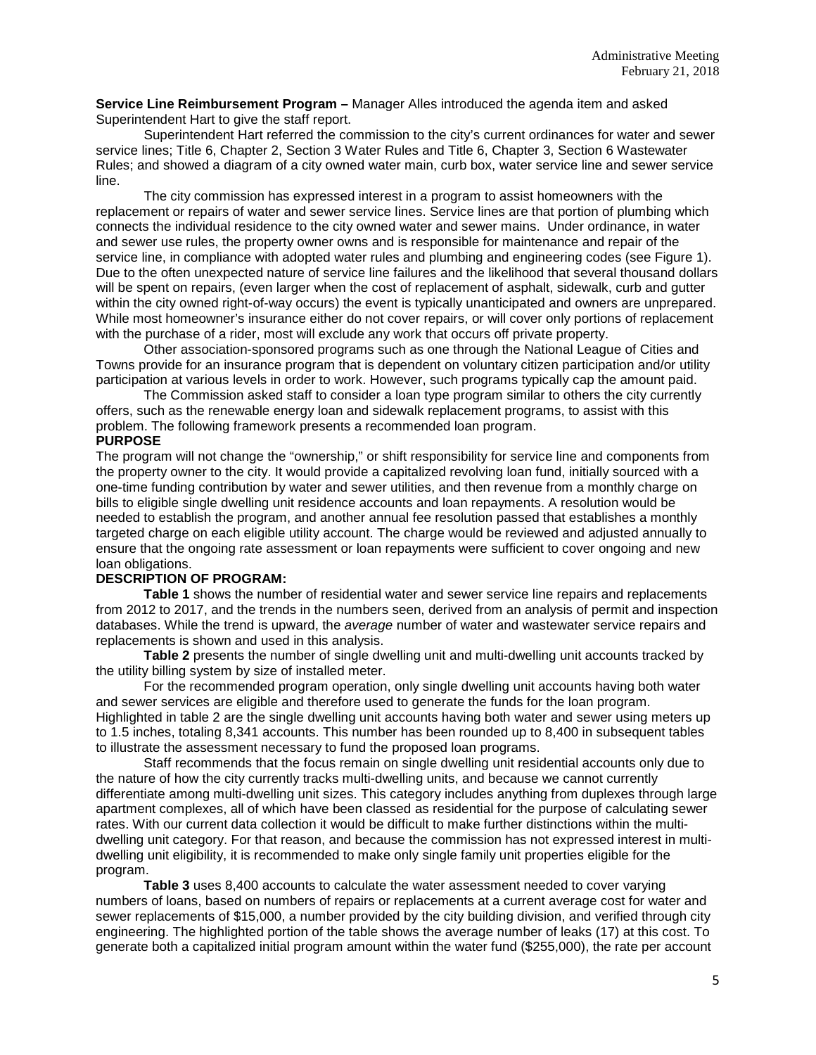**Service Line Reimbursement Program –** Manager Alles introduced the agenda item and asked Superintendent Hart to give the staff report.

Superintendent Hart referred the commission to the city's current ordinances for water and sewer service lines; Title 6, Chapter 2, Section 3 Water Rules and Title 6, Chapter 3, Section 6 Wastewater Rules; and showed a diagram of a city owned water main, curb box, water service line and sewer service line.

The city commission has expressed interest in a program to assist homeowners with the replacement or repairs of water and sewer service lines. Service lines are that portion of plumbing which connects the individual residence to the city owned water and sewer mains. Under ordinance, in water and sewer use rules, the property owner owns and is responsible for maintenance and repair of the service line, in compliance with adopted water rules and plumbing and engineering codes (see Figure 1). Due to the often unexpected nature of service line failures and the likelihood that several thousand dollars will be spent on repairs, (even larger when the cost of replacement of asphalt, sidewalk, curb and gutter within the city owned right-of-way occurs) the event is typically unanticipated and owners are unprepared. While most homeowner's insurance either do not cover repairs, or will cover only portions of replacement with the purchase of a rider, most will exclude any work that occurs off private property.

Other association-sponsored programs such as one through the National League of Cities and Towns provide for an insurance program that is dependent on voluntary citizen participation and/or utility participation at various levels in order to work. However, such programs typically cap the amount paid.

The Commission asked staff to consider a loan type program similar to others the city currently offers, such as the renewable energy loan and sidewalk replacement programs, to assist with this problem. The following framework presents a recommended loan program.

### **PURPOSE**

The program will not change the "ownership," or shift responsibility for service line and components from the property owner to the city. It would provide a capitalized revolving loan fund, initially sourced with a one-time funding contribution by water and sewer utilities, and then revenue from a monthly charge on bills to eligible single dwelling unit residence accounts and loan repayments. A resolution would be needed to establish the program, and another annual fee resolution passed that establishes a monthly targeted charge on each eligible utility account. The charge would be reviewed and adjusted annually to ensure that the ongoing rate assessment or loan repayments were sufficient to cover ongoing and new loan obligations.

### **DESCRIPTION OF PROGRAM:**

**Table 1** shows the number of residential water and sewer service line repairs and replacements from 2012 to 2017, and the trends in the numbers seen, derived from an analysis of permit and inspection databases. While the trend is upward, the *average* number of water and wastewater service repairs and replacements is shown and used in this analysis.

**Table 2** presents the number of single dwelling unit and multi-dwelling unit accounts tracked by the utility billing system by size of installed meter.

For the recommended program operation, only single dwelling unit accounts having both water and sewer services are eligible and therefore used to generate the funds for the loan program. Highlighted in table 2 are the single dwelling unit accounts having both water and sewer using meters up to 1.5 inches, totaling 8,341 accounts. This number has been rounded up to 8,400 in subsequent tables to illustrate the assessment necessary to fund the proposed loan programs.

Staff recommends that the focus remain on single dwelling unit residential accounts only due to the nature of how the city currently tracks multi-dwelling units, and because we cannot currently differentiate among multi-dwelling unit sizes. This category includes anything from duplexes through large apartment complexes, all of which have been classed as residential for the purpose of calculating sewer rates. With our current data collection it would be difficult to make further distinctions within the multidwelling unit category. For that reason, and because the commission has not expressed interest in multidwelling unit eligibility, it is recommended to make only single family unit properties eligible for the program.

**Table 3** uses 8,400 accounts to calculate the water assessment needed to cover varying numbers of loans, based on numbers of repairs or replacements at a current average cost for water and sewer replacements of \$15,000, a number provided by the city building division, and verified through city engineering. The highlighted portion of the table shows the average number of leaks (17) at this cost. To generate both a capitalized initial program amount within the water fund (\$255,000), the rate per account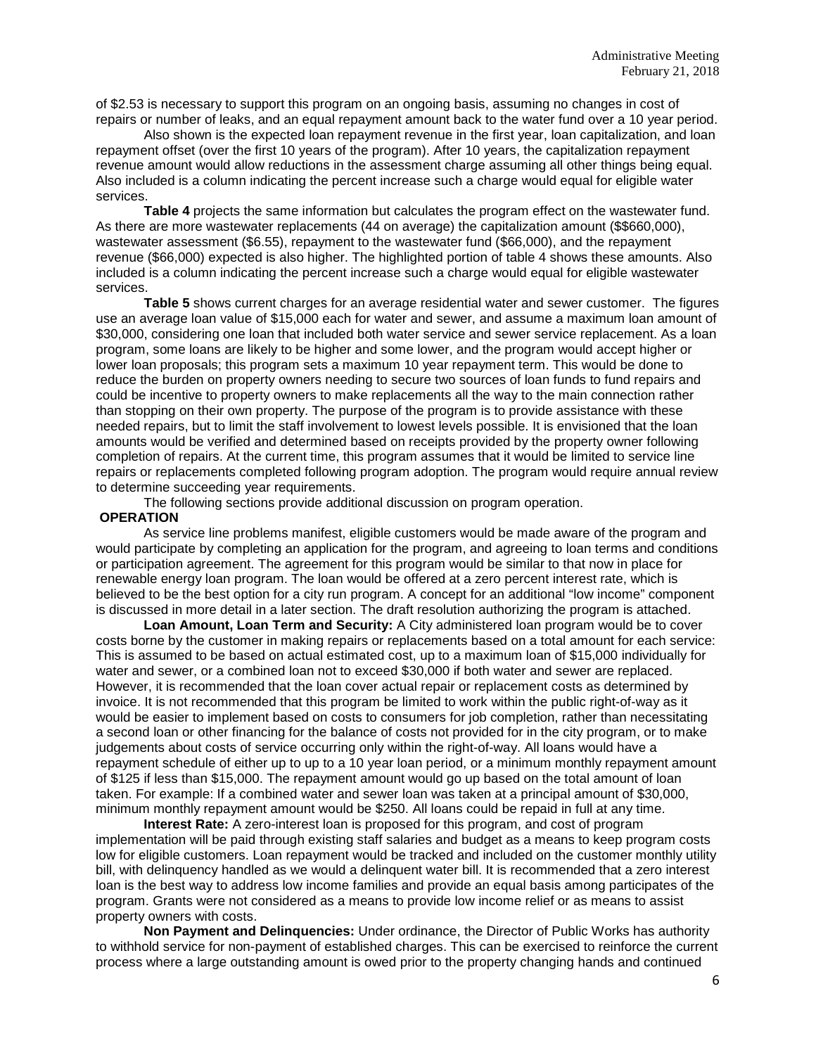of \$2.53 is necessary to support this program on an ongoing basis, assuming no changes in cost of repairs or number of leaks, and an equal repayment amount back to the water fund over a 10 year period.

Also shown is the expected loan repayment revenue in the first year, loan capitalization, and loan repayment offset (over the first 10 years of the program). After 10 years, the capitalization repayment revenue amount would allow reductions in the assessment charge assuming all other things being equal. Also included is a column indicating the percent increase such a charge would equal for eligible water services.

**Table 4** projects the same information but calculates the program effect on the wastewater fund. As there are more wastewater replacements (44 on average) the capitalization amount (\$\$660,000), wastewater assessment (\$6.55), repayment to the wastewater fund (\$66,000), and the repayment revenue (\$66,000) expected is also higher. The highlighted portion of table 4 shows these amounts. Also included is a column indicating the percent increase such a charge would equal for eligible wastewater services.

**Table 5** shows current charges for an average residential water and sewer customer. The figures use an average loan value of \$15,000 each for water and sewer, and assume a maximum loan amount of \$30,000, considering one loan that included both water service and sewer service replacement. As a loan program, some loans are likely to be higher and some lower, and the program would accept higher or lower loan proposals; this program sets a maximum 10 year repayment term. This would be done to reduce the burden on property owners needing to secure two sources of loan funds to fund repairs and could be incentive to property owners to make replacements all the way to the main connection rather than stopping on their own property. The purpose of the program is to provide assistance with these needed repairs, but to limit the staff involvement to lowest levels possible. It is envisioned that the loan amounts would be verified and determined based on receipts provided by the property owner following completion of repairs. At the current time, this program assumes that it would be limited to service line repairs or replacements completed following program adoption. The program would require annual review to determine succeeding year requirements.

The following sections provide additional discussion on program operation.

#### **OPERATION**

As service line problems manifest, eligible customers would be made aware of the program and would participate by completing an application for the program, and agreeing to loan terms and conditions or participation agreement. The agreement for this program would be similar to that now in place for renewable energy loan program. The loan would be offered at a zero percent interest rate, which is believed to be the best option for a city run program. A concept for an additional "low income" component is discussed in more detail in a later section. The draft resolution authorizing the program is attached.

**Loan Amount, Loan Term and Security:** A City administered loan program would be to cover costs borne by the customer in making repairs or replacements based on a total amount for each service: This is assumed to be based on actual estimated cost, up to a maximum loan of \$15,000 individually for water and sewer, or a combined loan not to exceed \$30,000 if both water and sewer are replaced. However, it is recommended that the loan cover actual repair or replacement costs as determined by invoice. It is not recommended that this program be limited to work within the public right-of-way as it would be easier to implement based on costs to consumers for job completion, rather than necessitating a second loan or other financing for the balance of costs not provided for in the city program, or to make judgements about costs of service occurring only within the right-of-way. All loans would have a repayment schedule of either up to up to a 10 year loan period, or a minimum monthly repayment amount of \$125 if less than \$15,000. The repayment amount would go up based on the total amount of loan taken. For example: If a combined water and sewer loan was taken at a principal amount of \$30,000, minimum monthly repayment amount would be \$250. All loans could be repaid in full at any time.

**Interest Rate:** A zero-interest loan is proposed for this program, and cost of program implementation will be paid through existing staff salaries and budget as a means to keep program costs low for eligible customers. Loan repayment would be tracked and included on the customer monthly utility bill, with delinquency handled as we would a delinquent water bill. It is recommended that a zero interest loan is the best way to address low income families and provide an equal basis among participates of the program. Grants were not considered as a means to provide low income relief or as means to assist property owners with costs.

**Non Payment and Delinquencies:** Under ordinance, the Director of Public Works has authority to withhold service for non-payment of established charges. This can be exercised to reinforce the current process where a large outstanding amount is owed prior to the property changing hands and continued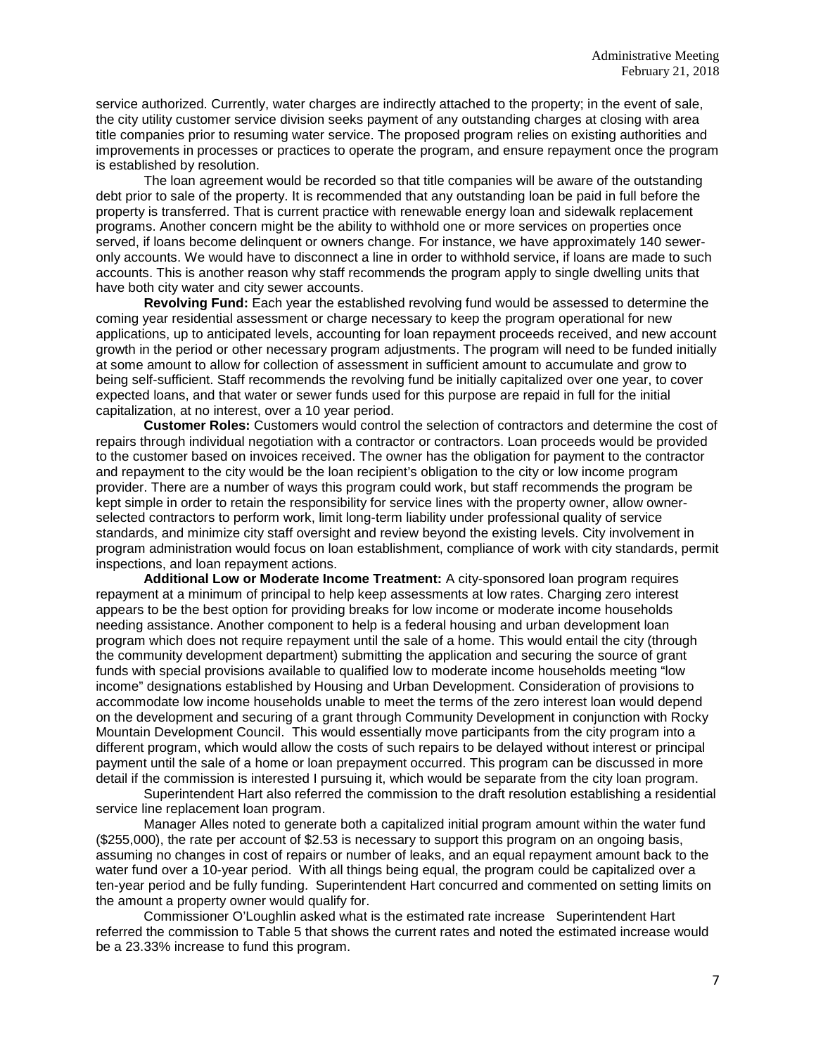service authorized. Currently, water charges are indirectly attached to the property; in the event of sale, the city utility customer service division seeks payment of any outstanding charges at closing with area title companies prior to resuming water service. The proposed program relies on existing authorities and improvements in processes or practices to operate the program, and ensure repayment once the program is established by resolution.

The loan agreement would be recorded so that title companies will be aware of the outstanding debt prior to sale of the property. It is recommended that any outstanding loan be paid in full before the property is transferred. That is current practice with renewable energy loan and sidewalk replacement programs. Another concern might be the ability to withhold one or more services on properties once served, if loans become delinquent or owners change. For instance, we have approximately 140 seweronly accounts. We would have to disconnect a line in order to withhold service, if loans are made to such accounts. This is another reason why staff recommends the program apply to single dwelling units that have both city water and city sewer accounts.

**Revolving Fund:** Each year the established revolving fund would be assessed to determine the coming year residential assessment or charge necessary to keep the program operational for new applications, up to anticipated levels, accounting for loan repayment proceeds received, and new account growth in the period or other necessary program adjustments. The program will need to be funded initially at some amount to allow for collection of assessment in sufficient amount to accumulate and grow to being self-sufficient. Staff recommends the revolving fund be initially capitalized over one year, to cover expected loans, and that water or sewer funds used for this purpose are repaid in full for the initial capitalization, at no interest, over a 10 year period.

**Customer Roles:** Customers would control the selection of contractors and determine the cost of repairs through individual negotiation with a contractor or contractors. Loan proceeds would be provided to the customer based on invoices received. The owner has the obligation for payment to the contractor and repayment to the city would be the loan recipient's obligation to the city or low income program provider. There are a number of ways this program could work, but staff recommends the program be kept simple in order to retain the responsibility for service lines with the property owner, allow ownerselected contractors to perform work, limit long-term liability under professional quality of service standards, and minimize city staff oversight and review beyond the existing levels. City involvement in program administration would focus on loan establishment, compliance of work with city standards, permit inspections, and loan repayment actions.

**Additional Low or Moderate Income Treatment:** A city-sponsored loan program requires repayment at a minimum of principal to help keep assessments at low rates. Charging zero interest appears to be the best option for providing breaks for low income or moderate income households needing assistance. Another component to help is a federal housing and urban development loan program which does not require repayment until the sale of a home. This would entail the city (through the community development department) submitting the application and securing the source of grant funds with special provisions available to qualified low to moderate income households meeting "low income" designations established by Housing and Urban Development. Consideration of provisions to accommodate low income households unable to meet the terms of the zero interest loan would depend on the development and securing of a grant through Community Development in conjunction with Rocky Mountain Development Council. This would essentially move participants from the city program into a different program, which would allow the costs of such repairs to be delayed without interest or principal payment until the sale of a home or loan prepayment occurred. This program can be discussed in more detail if the commission is interested I pursuing it, which would be separate from the city loan program.

Superintendent Hart also referred the commission to the draft resolution establishing a residential service line replacement loan program.

Manager Alles noted to generate both a capitalized initial program amount within the water fund (\$255,000), the rate per account of \$2.53 is necessary to support this program on an ongoing basis, assuming no changes in cost of repairs or number of leaks, and an equal repayment amount back to the water fund over a 10-year period. With all things being equal, the program could be capitalized over a ten-year period and be fully funding. Superintendent Hart concurred and commented on setting limits on the amount a property owner would qualify for.

Commissioner O'Loughlin asked what is the estimated rate increase Superintendent Hart referred the commission to Table 5 that shows the current rates and noted the estimated increase would be a 23.33% increase to fund this program.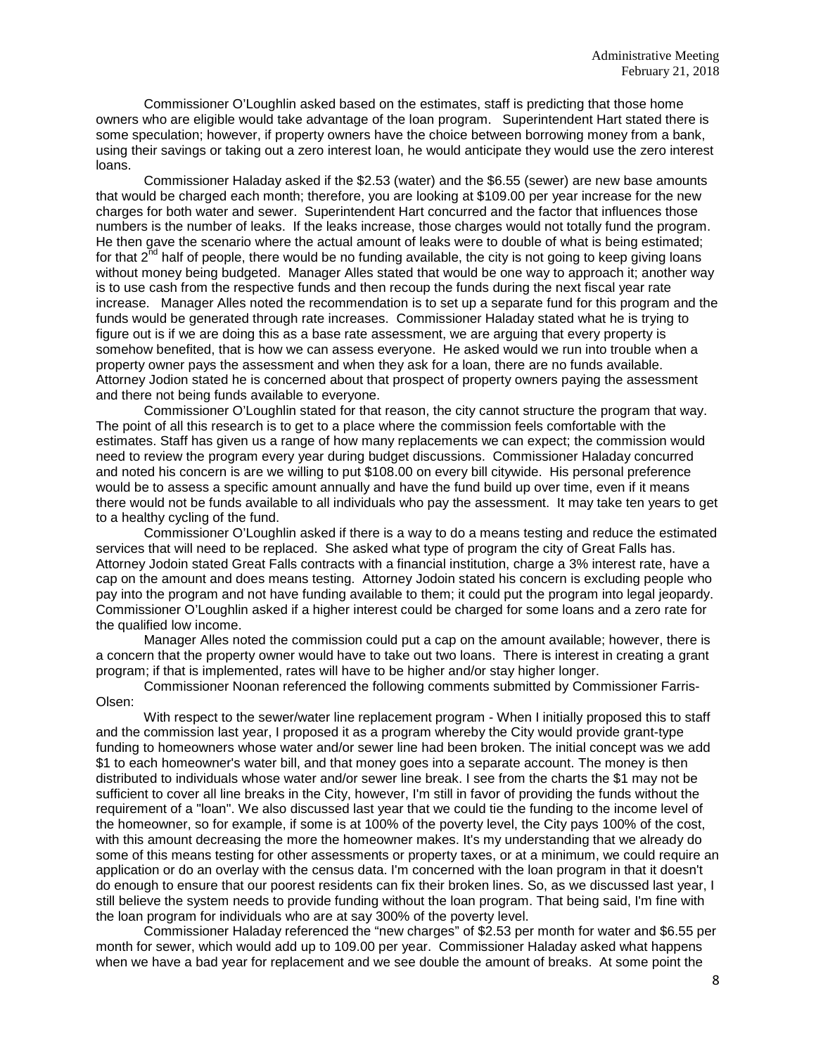Commissioner O'Loughlin asked based on the estimates, staff is predicting that those home owners who are eligible would take advantage of the loan program. Superintendent Hart stated there is some speculation; however, if property owners have the choice between borrowing money from a bank, using their savings or taking out a zero interest loan, he would anticipate they would use the zero interest loans.

Commissioner Haladay asked if the \$2.53 (water) and the \$6.55 (sewer) are new base amounts that would be charged each month; therefore, you are looking at \$109.00 per year increase for the new charges for both water and sewer. Superintendent Hart concurred and the factor that influences those numbers is the number of leaks. If the leaks increase, those charges would not totally fund the program. He then gave the scenario where the actual amount of leaks were to double of what is being estimated; for that  $2^{nd}$  half of people, there would be no funding available, the city is not going to keep giving loans without money being budgeted. Manager Alles stated that would be one way to approach it; another way is to use cash from the respective funds and then recoup the funds during the next fiscal year rate increase. Manager Alles noted the recommendation is to set up a separate fund for this program and the funds would be generated through rate increases. Commissioner Haladay stated what he is trying to figure out is if we are doing this as a base rate assessment, we are arguing that every property is somehow benefited, that is how we can assess everyone. He asked would we run into trouble when a property owner pays the assessment and when they ask for a loan, there are no funds available. Attorney Jodion stated he is concerned about that prospect of property owners paying the assessment and there not being funds available to everyone.

Commissioner O'Loughlin stated for that reason, the city cannot structure the program that way. The point of all this research is to get to a place where the commission feels comfortable with the estimates. Staff has given us a range of how many replacements we can expect; the commission would need to review the program every year during budget discussions. Commissioner Haladay concurred and noted his concern is are we willing to put \$108.00 on every bill citywide. His personal preference would be to assess a specific amount annually and have the fund build up over time, even if it means there would not be funds available to all individuals who pay the assessment. It may take ten years to get to a healthy cycling of the fund.

Commissioner O'Loughlin asked if there is a way to do a means testing and reduce the estimated services that will need to be replaced. She asked what type of program the city of Great Falls has. Attorney Jodoin stated Great Falls contracts with a financial institution, charge a 3% interest rate, have a cap on the amount and does means testing. Attorney Jodoin stated his concern is excluding people who pay into the program and not have funding available to them; it could put the program into legal jeopardy. Commissioner O'Loughlin asked if a higher interest could be charged for some loans and a zero rate for the qualified low income.

Manager Alles noted the commission could put a cap on the amount available; however, there is a concern that the property owner would have to take out two loans. There is interest in creating a grant program; if that is implemented, rates will have to be higher and/or stay higher longer.

Commissioner Noonan referenced the following comments submitted by Commissioner Farris-Olsen:

With respect to the sewer/water line replacement program - When I initially proposed this to staff and the commission last year, I proposed it as a program whereby the City would provide grant-type funding to homeowners whose water and/or sewer line had been broken. The initial concept was we add \$1 to each homeowner's water bill, and that money goes into a separate account. The money is then distributed to individuals whose water and/or sewer line break. I see from the charts the \$1 may not be sufficient to cover all line breaks in the City, however, I'm still in favor of providing the funds without the requirement of a "loan". We also discussed last year that we could tie the funding to the income level of the homeowner, so for example, if some is at 100% of the poverty level, the City pays 100% of the cost, with this amount decreasing the more the homeowner makes. It's my understanding that we already do some of this means testing for other assessments or property taxes, or at a minimum, we could require an application or do an overlay with the census data. I'm concerned with the loan program in that it doesn't do enough to ensure that our poorest residents can fix their broken lines. So, as we discussed last year, I still believe the system needs to provide funding without the loan program. That being said, I'm fine with the loan program for individuals who are at say 300% of the poverty level.

Commissioner Haladay referenced the "new charges" of \$2.53 per month for water and \$6.55 per month for sewer, which would add up to 109.00 per year. Commissioner Haladay asked what happens when we have a bad year for replacement and we see double the amount of breaks. At some point the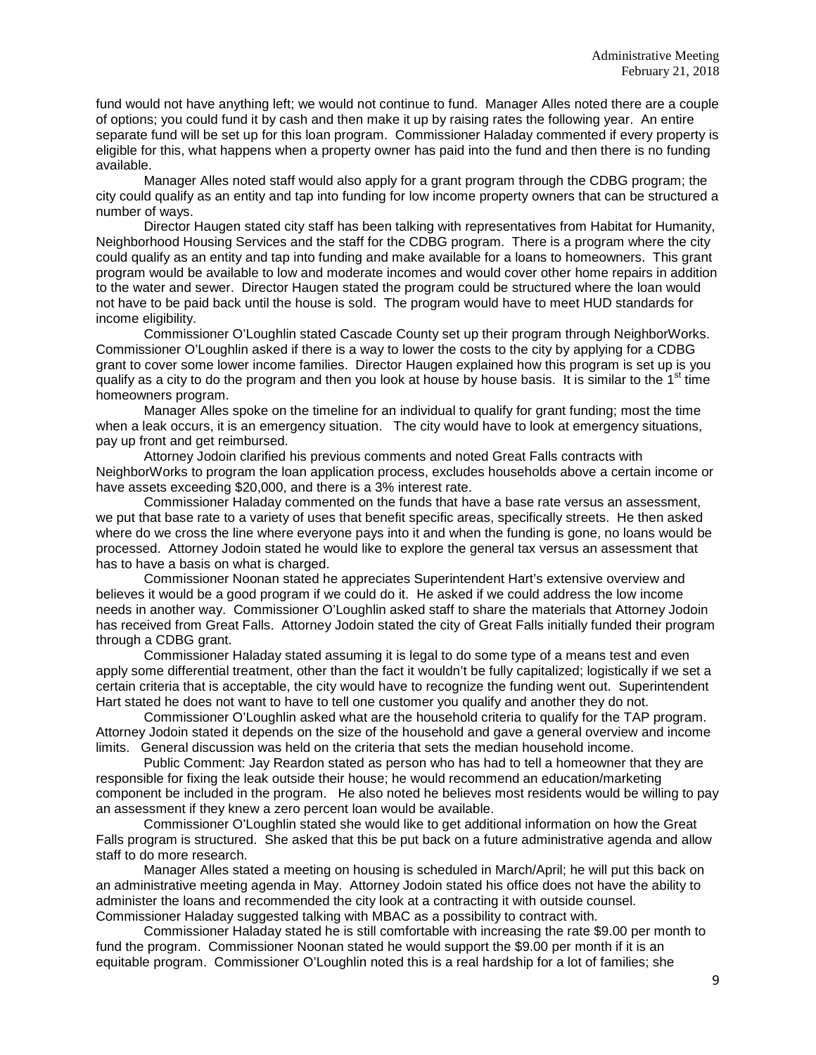fund would not have anything left; we would not continue to fund. Manager Alles noted there are a couple of options; you could fund it by cash and then make it up by raising rates the following year. An entire separate fund will be set up for this loan program. Commissioner Haladay commented if every property is eligible for this, what happens when a property owner has paid into the fund and then there is no funding available.

Manager Alles noted staff would also apply for a grant program through the CDBG program; the city could qualify as an entity and tap into funding for low income property owners that can be structured a number of ways.

Director Haugen stated city staff has been talking with representatives from Habitat for Humanity, Neighborhood Housing Services and the staff for the CDBG program. There is a program where the city could qualify as an entity and tap into funding and make available for a loans to homeowners. This grant program would be available to low and moderate incomes and would cover other home repairs in addition to the water and sewer. Director Haugen stated the program could be structured where the loan would not have to be paid back until the house is sold. The program would have to meet HUD standards for income eligibility.

Commissioner O'Loughlin stated Cascade County set up their program through NeighborWorks. Commissioner O'Loughlin asked if there is a way to lower the costs to the city by applying for a CDBG grant to cover some lower income families. Director Haugen explained how this program is set up is you qualify as a city to do the program and then you look at house by house basis. It is similar to the  $1<sup>st</sup>$  time homeowners program.

Manager Alles spoke on the timeline for an individual to qualify for grant funding; most the time when a leak occurs, it is an emergency situation. The city would have to look at emergency situations, pay up front and get reimbursed.

Attorney Jodoin clarified his previous comments and noted Great Falls contracts with NeighborWorks to program the loan application process, excludes households above a certain income or have assets exceeding \$20,000, and there is a 3% interest rate.

Commissioner Haladay commented on the funds that have a base rate versus an assessment, we put that base rate to a variety of uses that benefit specific areas, specifically streets. He then asked where do we cross the line where everyone pays into it and when the funding is gone, no loans would be processed. Attorney Jodoin stated he would like to explore the general tax versus an assessment that has to have a basis on what is charged.

Commissioner Noonan stated he appreciates Superintendent Hart's extensive overview and believes it would be a good program if we could do it. He asked if we could address the low income needs in another way. Commissioner O'Loughlin asked staff to share the materials that Attorney Jodoin has received from Great Falls. Attorney Jodoin stated the city of Great Falls initially funded their program through a CDBG grant.

Commissioner Haladay stated assuming it is legal to do some type of a means test and even apply some differential treatment, other than the fact it wouldn't be fully capitalized; logistically if we set a certain criteria that is acceptable, the city would have to recognize the funding went out. Superintendent Hart stated he does not want to have to tell one customer you qualify and another they do not.

Commissioner O'Loughlin asked what are the household criteria to qualify for the TAP program. Attorney Jodoin stated it depends on the size of the household and gave a general overview and income limits. General discussion was held on the criteria that sets the median household income.

Public Comment: Jay Reardon stated as person who has had to tell a homeowner that they are responsible for fixing the leak outside their house; he would recommend an education/marketing component be included in the program. He also noted he believes most residents would be willing to pay an assessment if they knew a zero percent loan would be available.

Commissioner O'Loughlin stated she would like to get additional information on how the Great Falls program is structured. She asked that this be put back on a future administrative agenda and allow staff to do more research.

Manager Alles stated a meeting on housing is scheduled in March/April; he will put this back on an administrative meeting agenda in May. Attorney Jodoin stated his office does not have the ability to administer the loans and recommended the city look at a contracting it with outside counsel. Commissioner Haladay suggested talking with MBAC as a possibility to contract with.

Commissioner Haladay stated he is still comfortable with increasing the rate \$9.00 per month to fund the program. Commissioner Noonan stated he would support the \$9.00 per month if it is an equitable program. Commissioner O'Loughlin noted this is a real hardship for a lot of families; she